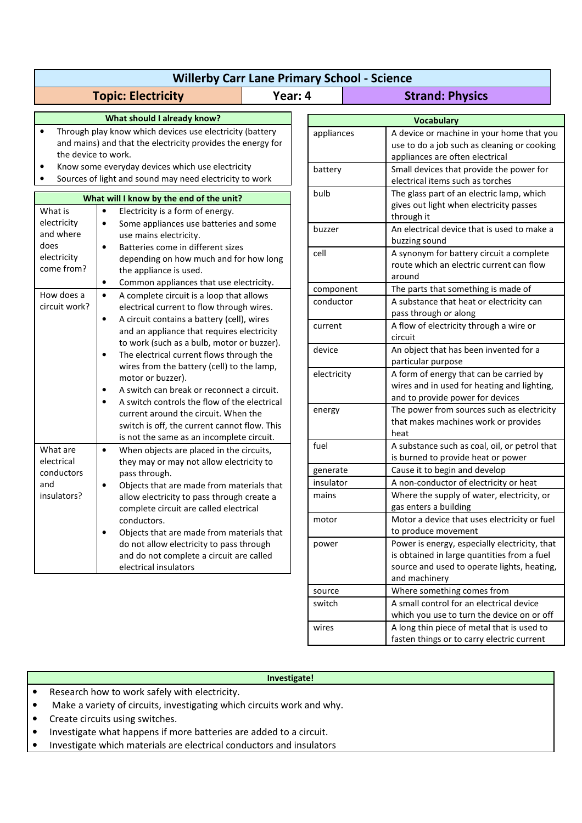| <b>Willerby Carr Lane Primary School - Science</b>                                                                                                                                                                                                                                           |                                                                                                                                                                                                                                                                                                                                                                                                                                                        |         |                       |                                                                                                                                                                                                             |
|----------------------------------------------------------------------------------------------------------------------------------------------------------------------------------------------------------------------------------------------------------------------------------------------|--------------------------------------------------------------------------------------------------------------------------------------------------------------------------------------------------------------------------------------------------------------------------------------------------------------------------------------------------------------------------------------------------------------------------------------------------------|---------|-----------------------|-------------------------------------------------------------------------------------------------------------------------------------------------------------------------------------------------------------|
|                                                                                                                                                                                                                                                                                              | <b>Topic: Electricity</b>                                                                                                                                                                                                                                                                                                                                                                                                                              | Year: 4 |                       | <b>Strand: Physics</b>                                                                                                                                                                                      |
| What should I already know?                                                                                                                                                                                                                                                                  |                                                                                                                                                                                                                                                                                                                                                                                                                                                        |         | <b>Vocabulary</b>     |                                                                                                                                                                                                             |
| Through play know which devices use electricity (battery<br>$\bullet$<br>and mains) and that the electricity provides the energy for<br>the device to work.<br>Know some everyday devices which use electricity<br>$\bullet$<br>Sources of light and sound may need electricity to work<br>٠ |                                                                                                                                                                                                                                                                                                                                                                                                                                                        |         | appliances<br>battery | A device or machine in your home that you<br>use to do a job such as cleaning or cooking<br>appliances are often electrical<br>Small devices that provide the power for<br>electrical items such as torches |
| What will I know by the end of the unit?<br>What is<br>$\bullet$<br>Electricity is a form of energy.                                                                                                                                                                                         |                                                                                                                                                                                                                                                                                                                                                                                                                                                        |         | bulb                  | The glass part of an electric lamp, which<br>gives out light when electricity passes                                                                                                                        |
| electricity<br>and where<br>does                                                                                                                                                                                                                                                             | Some appliances use batteries and some<br>$\bullet$<br>use mains electricity.<br>Batteries come in different sizes<br>$\bullet$                                                                                                                                                                                                                                                                                                                        |         | buzzer                | through it<br>An electrical device that is used to make a<br>buzzing sound                                                                                                                                  |
| electricity<br>come from?                                                                                                                                                                                                                                                                    | depending on how much and for how long<br>the appliance is used.<br>Common appliances that use electricity.<br>$\bullet$                                                                                                                                                                                                                                                                                                                               |         | cell                  | A synonym for battery circuit a complete<br>route which an electric current can flow<br>around                                                                                                              |
| How does a                                                                                                                                                                                                                                                                                   | A complete circuit is a loop that allows<br>$\bullet$                                                                                                                                                                                                                                                                                                                                                                                                  |         | component             | The parts that something is made of                                                                                                                                                                         |
| circuit work?                                                                                                                                                                                                                                                                                | electrical current to flow through wires.                                                                                                                                                                                                                                                                                                                                                                                                              |         | conductor             | A substance that heat or electricity can<br>pass through or along                                                                                                                                           |
|                                                                                                                                                                                                                                                                                              | A circuit contains a battery (cell), wires<br>$\bullet$<br>and an appliance that requires electricity                                                                                                                                                                                                                                                                                                                                                  |         | current               | A flow of electricity through a wire or<br>circuit                                                                                                                                                          |
|                                                                                                                                                                                                                                                                                              | to work (such as a bulb, motor or buzzer).<br>The electrical current flows through the<br>$\bullet$<br>wires from the battery (cell) to the lamp,<br>motor or buzzer).<br>A switch can break or reconnect a circuit.<br>$\bullet$<br>A switch controls the flow of the electrical<br>$\bullet$<br>current around the circuit. When the<br>switch is off, the current cannot flow. This<br>is not the same as an incomplete circuit.                    |         | device                | An object that has been invented for a<br>particular purpose                                                                                                                                                |
|                                                                                                                                                                                                                                                                                              |                                                                                                                                                                                                                                                                                                                                                                                                                                                        |         | electricity           | A form of energy that can be carried by<br>wires and in used for heating and lighting,<br>and to provide power for devices                                                                                  |
|                                                                                                                                                                                                                                                                                              |                                                                                                                                                                                                                                                                                                                                                                                                                                                        |         | energy                | The power from sources such as electricity<br>that makes machines work or provides<br>heat                                                                                                                  |
| What are<br>electrical<br>conductors<br>and<br>insulators?                                                                                                                                                                                                                                   | When objects are placed in the circuits,<br>$\bullet$<br>they may or may not allow electricity to<br>pass through.<br>Objects that are made from materials that<br>$\bullet$<br>allow electricity to pass through create a<br>complete circuit are called electrical<br>conductors.<br>Objects that are made from materials that<br>٠<br>do not allow electricity to pass through<br>and do not complete a circuit are called<br>electrical insulators |         | fuel                  | A substance such as coal, oil, or petrol that<br>is burned to provide heat or power                                                                                                                         |
|                                                                                                                                                                                                                                                                                              |                                                                                                                                                                                                                                                                                                                                                                                                                                                        |         | generate              | Cause it to begin and develop                                                                                                                                                                               |
|                                                                                                                                                                                                                                                                                              |                                                                                                                                                                                                                                                                                                                                                                                                                                                        |         | insulator             | A non-conductor of electricity or heat                                                                                                                                                                      |
|                                                                                                                                                                                                                                                                                              |                                                                                                                                                                                                                                                                                                                                                                                                                                                        |         | mains                 | Where the supply of water, electricity, or<br>gas enters a building                                                                                                                                         |
|                                                                                                                                                                                                                                                                                              |                                                                                                                                                                                                                                                                                                                                                                                                                                                        |         | motor                 | Motor a device that uses electricity or fuel<br>to produce movement                                                                                                                                         |
|                                                                                                                                                                                                                                                                                              |                                                                                                                                                                                                                                                                                                                                                                                                                                                        |         | power                 | Power is energy, especially electricity, that<br>is obtained in large quantities from a fuel<br>source and used to operate lights, heating,<br>and machinery                                                |
|                                                                                                                                                                                                                                                                                              |                                                                                                                                                                                                                                                                                                                                                                                                                                                        |         | source                | Where something comes from                                                                                                                                                                                  |
|                                                                                                                                                                                                                                                                                              |                                                                                                                                                                                                                                                                                                                                                                                                                                                        |         | switch                | A small control for an electrical device<br>which you use to turn the device on or off                                                                                                                      |

## **Investigate!**

wires A long thin piece of metal that is used to

fasten things or to carry electric current

- Research how to work safely with electricity.
- Make a variety of circuits, investigating which circuits work and why.
- Create circuits using switches.
- Investigate what happens if more batteries are added to a circuit.
- Investigate which materials are electrical conductors and insulators